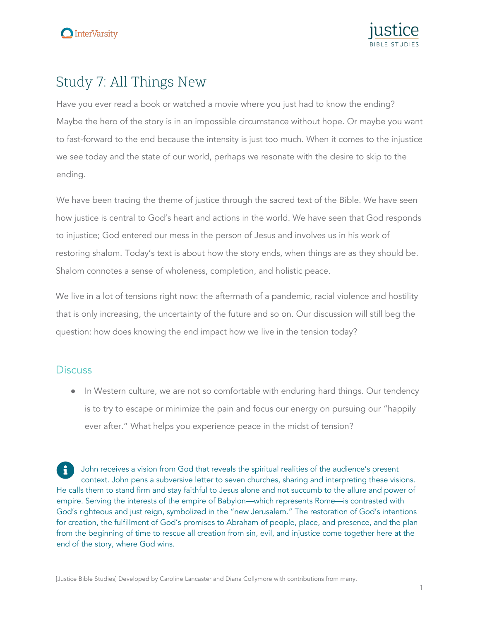

# Study 7: All Things New

Have you ever read a book or watched a movie where you just had to know the ending? Maybe the hero of the story is in an impossible circumstance without hope. Or maybe you want to fast-forward to the end because the intensity is just too much. When it comes to the injustice we see today and the state of our world, perhaps we resonate with the desire to skip to the ending.

We have been tracing the theme of justice through the sacred text of the Bible. We have seen how justice is central to God's heart and actions in the world. We have seen that God responds to injustice; God entered our mess in the person of Jesus and involves us in his work of restoring shalom. Today's text is about how the story ends, when things are as they should be. Shalom connotes a sense of wholeness, completion, and holistic peace.

We live in a lot of tensions right now: the aftermath of a pandemic, racial violence and hostility that is only increasing, the uncertainty of the future and so on. Our discussion will still beg the question: how does knowing the end impact how we live in the tension today?

# **Discuss**

• In Western culture, we are not so comfortable with enduring hard things. Our tendency is to try to escape or minimize the pain and focus our energy on pursuing our "happily ever after." What helps you experience peace in the midst of tension?

John receives a vision from God that reveals the spiritual realities of the audience's present context. John pens a subversive letter to seven churches, sharing and interpreting these visions. He calls them to stand firm and stay faithful to Jesus alone and not succumb to the allure and power of empire. Serving the interests of the empire of Babylon—which represents Rome—is contrasted with God's righteous and just reign, symbolized in the "new Jerusalem." The restoration of God's intentions for creation, the fulfillment of God's promises to Abraham of people, place, and presence, and the plan from the beginning of time to rescue all creation from sin, evil, and injustice come together here at the end of the story, where God wins.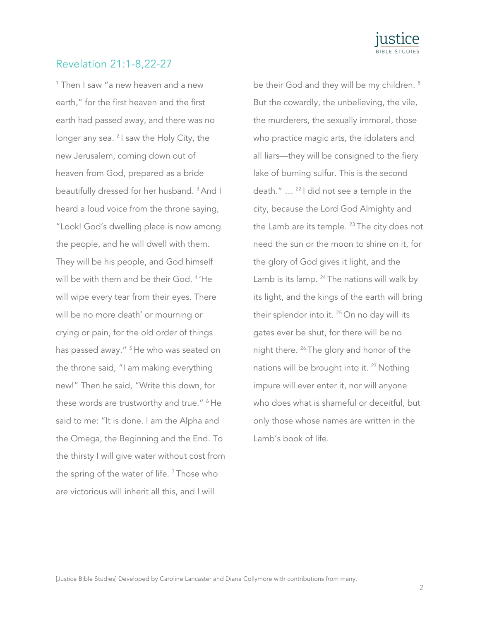

## Revelation 21:1-8,22-27

<sup>1</sup> Then I saw "a new heaven and a new earth," for the first heaven and the first earth had passed away, and there was no longer any sea. <sup>2</sup> I saw the Holy City, the new Jerusalem, coming down out of heaven from God, prepared as a bride beautifully dressed for her husband. 3 And I heard a loud voice from the throne saying, "Look! God's dwelling place is now among the people, and he will dwell with them. They will be his people, and God himself will be with them and be their God. <sup>4</sup> 'He will wipe every tear from their eyes. There will be no more death' or mourning or crying or pain, for the old order of things has passed away." <sup>5</sup> He who was seated on the throne said, "I am making everything new!" Then he said, "Write this down, for these words are trustworthy and true." <sup>6</sup> He said to me: "It is done. I am the Alpha and the Omega, the Beginning and the End. To the thirsty I will give water without cost from the spring of the water of life.<sup>7</sup> Those who are victorious will inherit all this, and I will

be their God and they will be my children. <sup>8</sup> But the cowardly, the unbelieving, the vile, the murderers, the sexually immoral, those who practice magic arts, the idolaters and all liars—they will be consigned to the fiery lake of burning sulfur. This is the second death." … 22 I did not see a temple in the city, because the Lord God Almighty and the Lamb are its temple.  $23$  The city does not need the sun or the moon to shine on it, for the glory of God gives it light, and the Lamb is its lamp. <sup>24</sup> The nations will walk by its light, and the kings of the earth will bring their splendor into it. <sup>25</sup> On no day will its gates ever be shut, for there will be no night there. 26 The glory and honor of the nations will be brought into it.<sup>27</sup> Nothing impure will ever enter it, nor will anyone who does what is shameful or deceitful, but only those whose names are written in the Lamb's book of life.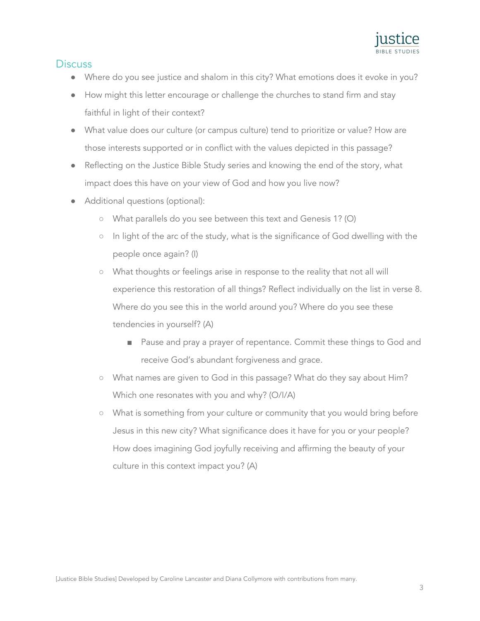

## **Discuss**

- Where do you see justice and shalom in this city? What emotions does it evoke in you?
- How might this letter encourage or challenge the churches to stand firm and stay faithful in light of their context?
- What value does our culture (or campus culture) tend to prioritize or value? How are those interests supported or in conflict with the values depicted in this passage?
- Reflecting on the Justice Bible Study series and knowing the end of the story, what impact does this have on your view of God and how you live now?
- Additional questions (optional):
	- What parallels do you see between this text and Genesis 1? (O)
	- In light of the arc of the study, what is the significance of God dwelling with the people once again? (I)
	- What thoughts or feelings arise in response to the reality that not all will experience this restoration of all things? Reflect individually on the list in verse 8. Where do you see this in the world around you? Where do you see these tendencies in yourself? (A)
		- Pause and pray a prayer of repentance. Commit these things to God and receive God's abundant forgiveness and grace.
	- What names are given to God in this passage? What do they say about Him? Which one resonates with you and why? (O/I/A)
	- What is something from your culture or community that you would bring before Jesus in this new city? What significance does it have for you or your people? How does imagining God joyfully receiving and affirming the beauty of your culture in this context impact you? (A)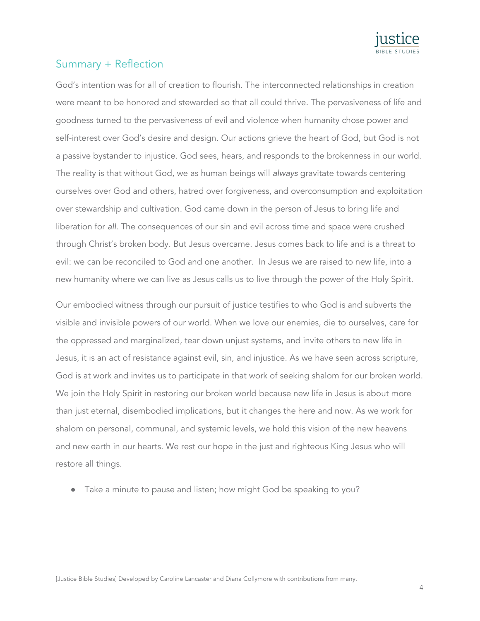

# Summary + Reflection

God's intention was for all of creation to flourish. The interconnected relationships in creation were meant to be honored and stewarded so that all could thrive. The pervasiveness of life and goodness turned to the pervasiveness of evil and violence when humanity chose power and self-interest over God's desire and design. Our actions grieve the heart of God, but God is not a passive bystander to injustice. God sees, hears, and responds to the brokenness in our world. The reality is that without God, we as human beings will *always* gravitate towards centering ourselves over God and others, hatred over forgiveness, and overconsumption and exploitation over stewardship and cultivation. God came down in the person of Jesus to bring life and liberation for *all*. The consequences of our sin and evil across time and space were crushed through Christ's broken body. But Jesus overcame. Jesus comes back to life and is a threat to evil: we can be reconciled to God and one another. In Jesus we are raised to new life, into a new humanity where we can live as Jesus calls us to live through the power of the Holy Spirit.

Our embodied witness through our pursuit of justice testifies to who God is and subverts the visible and invisible powers of our world. When we love our enemies, die to ourselves, care for the oppressed and marginalized, tear down unjust systems, and invite others to new life in Jesus, it is an act of resistance against evil, sin, and injustice. As we have seen across scripture, God is at work and invites us to participate in that work of seeking shalom for our broken world. We join the Holy Spirit in restoring our broken world because new life in Jesus is about more than just eternal, disembodied implications, but it changes the here and now. As we work for shalom on personal, communal, and systemic levels, we hold this vision of the new heavens and new earth in our hearts. We rest our hope in the just and righteous King Jesus who will restore all things.

• Take a minute to pause and listen; how might God be speaking to you?